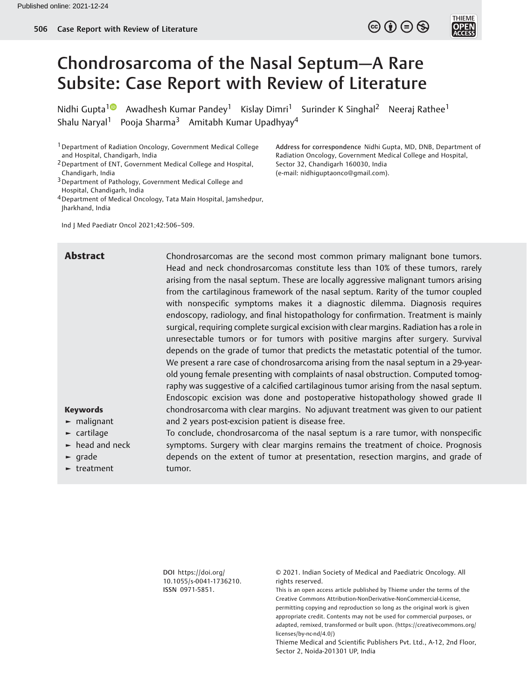# Chondrosarcoma of the Nasal Septum—A Rare Subsite: Case Report with Review of Literature

Nidhi Gupta<sup>1</sup> Awadhesh Kumar Pandey<sup>1</sup> Kislay Dimri<sup>1</sup> Surinder K Singhal<sup>2</sup> Neeraj Rathee<sup>1</sup> Shalu Naryal<sup>1</sup> Pooja Sharma<sup>3</sup> Amitabh Kumar Upadhyay<sup>4</sup>

1Department of Radiation Oncology, Government Medical College and Hospital, Chandigarh, India

4Department of Medical Oncology, Tata Main Hospital, Jamshedpur, Jharkhand, India

Ind J Med Paediatr Oncol 2021;42:506–509.

Address for correspondence Nidhi Gupta, MD, DNB, Department of Radiation Oncology, Government Medical College and Hospital, Sector 32, Chandigarh 160030, India (e-mail: [nidhiguptaonco@gmail.com](mailto:nidhiguptaonco@gmail.com)).

 $\circledcirc$  (i)  $\ominus$   $\circledcirc$ 

Abstract **Chondrosarcomas are the second most common primary malignant bone tumors.** Head and neck chondrosarcomas constitute less than 10% of these tumors, rarely arising from the nasal septum. These are locally aggressive malignant tumors arising from the cartilaginous framework of the nasal septum. Rarity of the tumor coupled with nonspecific symptoms makes it a diagnostic dilemma. Diagnosis requires endoscopy, radiology, and final histopathology for confirmation. Treatment is mainly surgical, requiring complete surgical excision with clear margins. Radiation has a role in unresectable tumors or for tumors with positive margins after surgery. Survival depends on the grade of tumor that predicts the metastatic potential of the tumor. We present a rare case of chondrosarcoma arising from the nasal septum in a 29-yearold young female presenting with complaints of nasal obstruction. Computed tomography was suggestive of a calcified cartilaginous tumor arising from the nasal septum. Endoscopic excision was done and postoperative histopathology showed grade II chondrosarcoma with clear margins. No adjuvant treatment was given to our patient and 2 years post-excision patient is disease free.

> To conclude, chondrosarcoma of the nasal septum is a rare tumor, with nonspecific symptoms. Surgery with clear margins remains the treatment of choice. Prognosis depends on the extent of tumor at presentation, resection margins, and grade of

#### Keywords

- ► malignant
- ► cartilage
- $\blacktriangleright$  head and neck
- ► grade
- ► treatment

DOI [https://doi.org/](https://doi.org/10.1055/s-0041-1736210) [10.1055/s-0041-1736210](https://doi.org/10.1055/s-0041-1736210). ISSN 0971-5851.

tumor.

© 2021. Indian Society of Medical and Paediatric Oncology. All rights reserved.

This is an open access article published by Thieme under the terms of the Creative Commons Attribution-NonDerivative-NonCommercial-License, permitting copying and reproduction so long as the original work is given appropriate credit. Contents may not be used for commercial purposes, or adapted, remixed, transformed or built upon. (https://creativecommons.org/ licenses/by-nc-nd/4.0/)

Thieme Medical and Scientific Publishers Pvt. Ltd., A-12, 2nd Floor, Sector 2, Noida-201301 UP, India

<sup>2</sup>Department of ENT, Government Medical College and Hospital, Chandigarh, India

<sup>&</sup>lt;sup>3</sup> Department of Pathology, Government Medical College and Hospital, Chandigarh, India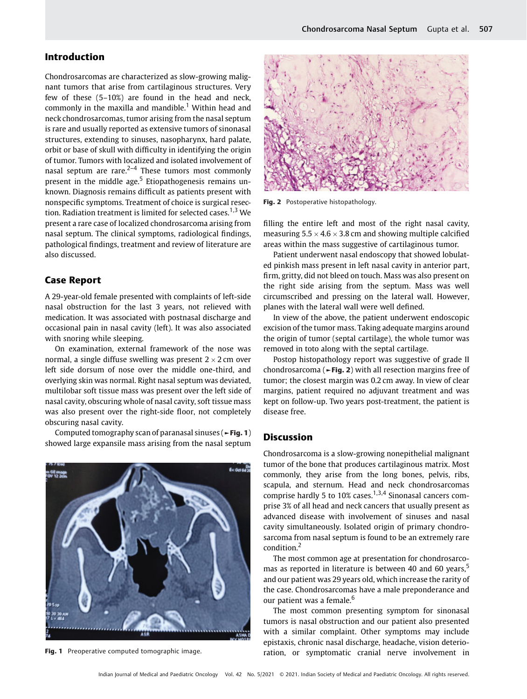# Introduction

Chondrosarcomas are characterized as slow-growing malignant tumors that arise from cartilaginous structures. Very few of these (5–10%) are found in the head and neck, commonly in the maxilla and mandible.<sup>1</sup> Within head and neck chondrosarcomas, tumor arising from the nasal septum is rare and usually reported as extensive tumors of sinonasal structures, extending to sinuses, nasopharynx, hard palate, orbit or base of skull with difficulty in identifying the origin of tumor. Tumors with localized and isolated involvement of nasal septum are rare. $2-4$  These tumors most commonly present in the middle age. $5$  Etiopathogenesis remains unknown. Diagnosis remains difficult as patients present with nonspecific symptoms. Treatment of choice is surgical resection. Radiation treatment is limited for selected cases.<sup>1,3</sup> We present a rare case of localized chondrosarcoma arising from nasal septum. The clinical symptoms, radiological findings, pathological findings, treatment and review of literature are also discussed.

## Case Report

A 29-year-old female presented with complaints of left-side nasal obstruction for the last 3 years, not relieved with medication. It was associated with postnasal discharge and occasional pain in nasal cavity (left). It was also associated with snoring while sleeping.

On examination, external framework of the nose was normal, a single diffuse swelling was present  $2 \times 2$  cm over left side dorsum of nose over the middle one-third, and overlying skin was normal. Right nasal septum was deviated, multilobar soft tissue mass was present over the left side of nasal cavity, obscuring whole of nasal cavity, soft tissue mass was also present over the right-side floor, not completely obscuring nasal cavity.

Computed tomography scan of paranasal sinuses (►Fig. 1) showed large expansile mass arising from the nasal septum





Fig. 2 Postoperative histopathology.

filling the entire left and most of the right nasal cavity, measuring  $5.5 \times 4.6 \times 3.8$  cm and showing multiple calcified areas within the mass suggestive of cartilaginous tumor.

Patient underwent nasal endoscopy that showed lobulated pinkish mass present in left nasal cavity in anterior part, firm, gritty, did not bleed on touch. Mass was also present on the right side arising from the septum. Mass was well circumscribed and pressing on the lateral wall. However, planes with the lateral wall were well defined.

In view of the above, the patient underwent endoscopic excision of the tumor mass. Taking adequate margins around the origin of tumor (septal cartilage), the whole tumor was removed in toto along with the septal cartilage.

Postop histopathology report was suggestive of grade II chondrosarcoma ( $\blacktriangleright$ Fig. 2) with all resection margins free of tumor; the closest margin was 0.2 cm away. In view of clear margins, patient required no adjuvant treatment and was kept on follow-up. Two years post-treatment, the patient is disease free.

### **Discussion**

Chondrosarcoma is a slow-growing nonepithelial malignant tumor of the bone that produces cartilaginous matrix. Most commonly, they arise from the long bones, pelvis, ribs, scapula, and sternum. Head and neck chondrosarcomas comprise hardly 5 to 10% cases.<sup>1,3,4</sup> Sinonasal cancers comprise 3% of all head and neck cancers that usually present as advanced disease with involvement of sinuses and nasal cavity simultaneously. Isolated origin of primary chondrosarcoma from nasal septum is found to be an extremely rare condition.<sup>2</sup>

The most common age at presentation for chondrosarcomas as reported in literature is between 40 and 60 years,<sup>5</sup> and our patient was 29 years old, which increase the rarity of the case. Chondrosarcomas have a male preponderance and our patient was a female.<sup>6</sup>

The most common presenting symptom for sinonasal tumors is nasal obstruction and our patient also presented with a similar complaint. Other symptoms may include epistaxis, chronic nasal discharge, headache, vision deterio-Fig. 1 Preoperative computed tomographic image. The ration, or symptomatic cranial nerve involvement in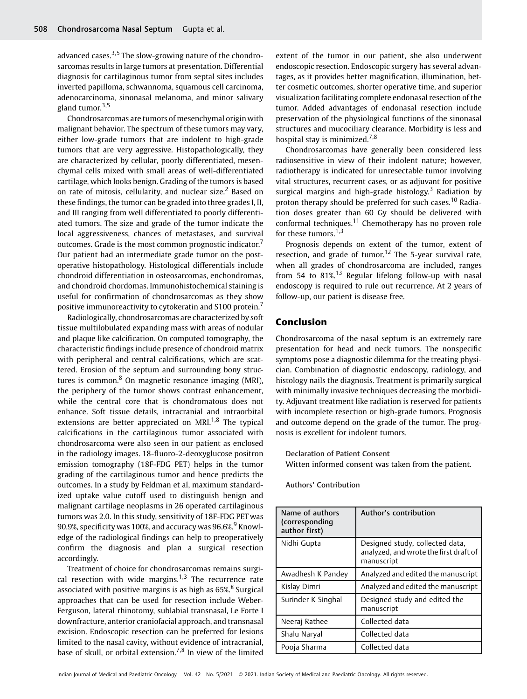advanced cases.<sup>3,5</sup> The slow-growing nature of the chondrosarcomas results in large tumors at presentation. Differential diagnosis for cartilaginous tumor from septal sites includes inverted papilloma, schwannoma, squamous cell carcinoma, adenocarcinoma, sinonasal melanoma, and minor salivary gland tumor. $3,5$ 

Chondrosarcomas are tumors of mesenchymal origin with malignant behavior. The spectrum of these tumors may vary, either low-grade tumors that are indolent to high-grade tumors that are very aggressive. Histopathologically, they are characterized by cellular, poorly differentiated, mesenchymal cells mixed with small areas of well-differentiated cartilage, which looks benign. Grading of the tumors is based on rate of mitosis, cellularity, and nuclear size.<sup>2</sup> Based on these findings, the tumor can be graded into three grades I, II, and III ranging from well differentiated to poorly differentiated tumors. The size and grade of the tumor indicate the local aggressiveness, chances of metastases, and survival outcomes. Grade is the most common prognostic indicator. Our patient had an intermediate grade tumor on the postoperative histopathology. Histological differentials include chondroid differentiation in osteosarcomas, enchondromas, and chondroid chordomas. Immunohistochemical staining is useful for confirmation of chondrosarcomas as they show positive immunoreactivity to cytokeratin and S100 protein.

Radiologically, chondrosarcomas are characterized by soft tissue multilobulated expanding mass with areas of nodular and plaque like calcification. On computed tomography, the characteristic findings include presence of chondroid matrix with peripheral and central calcifications, which are scattered. Erosion of the septum and surrounding bony structures is common. $8$  On magnetic resonance imaging (MRI), the periphery of the tumor shows contrast enhancement, while the central core that is chondromatous does not enhance. Soft tissue details, intracranial and intraorbital extensions are better appreciated on MRI. $1,8$  The typical calcifications in the cartilaginous tumor associated with chondrosarcoma were also seen in our patient as enclosed in the radiology images. 18-fluoro-2-deoxyglucose positron emission tomography (18F-FDG PET) helps in the tumor grading of the cartilaginous tumor and hence predicts the outcomes. In a study by Feldman et al, maximum standardized uptake value cutoff used to distinguish benign and malignant cartilage neoplasms in 26 operated cartilaginous tumors was 2.0. In this study, sensitivity of 18F-FDG PET was 90.9%, specificity was 100%, and accuracy was 96.6%.<sup>9</sup> Knowledge of the radiological findings can help to preoperatively confirm the diagnosis and plan a surgical resection accordingly.

Treatment of choice for chondrosarcomas remains surgical resection with wide margins.<sup>1,3</sup> The recurrence rate associated with positive margins is as high as 65%.<sup>8</sup> Surgical approaches that can be used for resection include Weber-Ferguson, lateral rhinotomy, sublabial transnasal, Le Forte I downfracture, anterior craniofacial approach, and transnasal excision. Endoscopic resection can be preferred for lesions limited to the nasal cavity, without evidence of intracranial, base of skull, or orbital extension.<sup>7,8</sup> In view of the limited extent of the tumor in our patient, she also underwent endoscopic resection. Endoscopic surgery has several advantages, as it provides better magnification, illumination, better cosmetic outcomes, shorter operative time, and superior visualization facilitating complete endonasal resection of the tumor. Added advantages of endonasal resection include preservation of the physiological functions of the sinonasal structures and mucociliary clearance. Morbidity is less and hospital stay is minimized.<sup>7,8</sup>

Chondrosarcomas have generally been considered less radiosensitive in view of their indolent nature; however, radiotherapy is indicated for unresectable tumor involving vital structures, recurrent cases, or as adjuvant for positive surgical margins and high-grade histology.<sup>3</sup> Radiation by proton therapy should be preferred for such cases.<sup>10</sup> Radiation doses greater than 60 Gy should be delivered with conformal techniques.<sup>11</sup> Chemotherapy has no proven role for these tumors. $1,3$ 

Prognosis depends on extent of the tumor, extent of resection, and grade of tumor.<sup>12</sup> The 5-year survival rate, when all grades of chondrosarcoma are included, ranges from 54 to  $81\%$ <sup>13</sup> Regular lifelong follow-up with nasal endoscopy is required to rule out recurrence. At 2 years of follow-up, our patient is disease free.

# Conclusion

Chondrosarcoma of the nasal septum is an extremely rare presentation for head and neck tumors. The nonspecific symptoms pose a diagnostic dilemma for the treating physician. Combination of diagnostic endoscopy, radiology, and histology nails the diagnosis. Treatment is primarily surgical with minimally invasive techniques decreasing the morbidity. Adjuvant treatment like radiation is reserved for patients with incomplete resection or high-grade tumors. Prognosis and outcome depend on the grade of the tumor. The prognosis is excellent for indolent tumors.

Declaration of Patient Consent Witten informed consent was taken from the patient.

Authors' Contribution

| Name of authors<br>(corresponding<br>author first) | Author's contribution                                                                   |
|----------------------------------------------------|-----------------------------------------------------------------------------------------|
| Nidhi Gupta                                        | Designed study, collected data,<br>analyzed, and wrote the first draft of<br>manuscript |
| Awadhesh K Pandey                                  | Analyzed and edited the manuscript                                                      |
| Kislay Dimri                                       | Analyzed and edited the manuscript                                                      |
| Surinder K Singhal                                 | Designed study and edited the<br>manuscript                                             |
| Neeraj Rathee                                      | Collected data                                                                          |
| Shalu Naryal                                       | Collected data                                                                          |
| Pooja Sharma                                       | Collected data                                                                          |